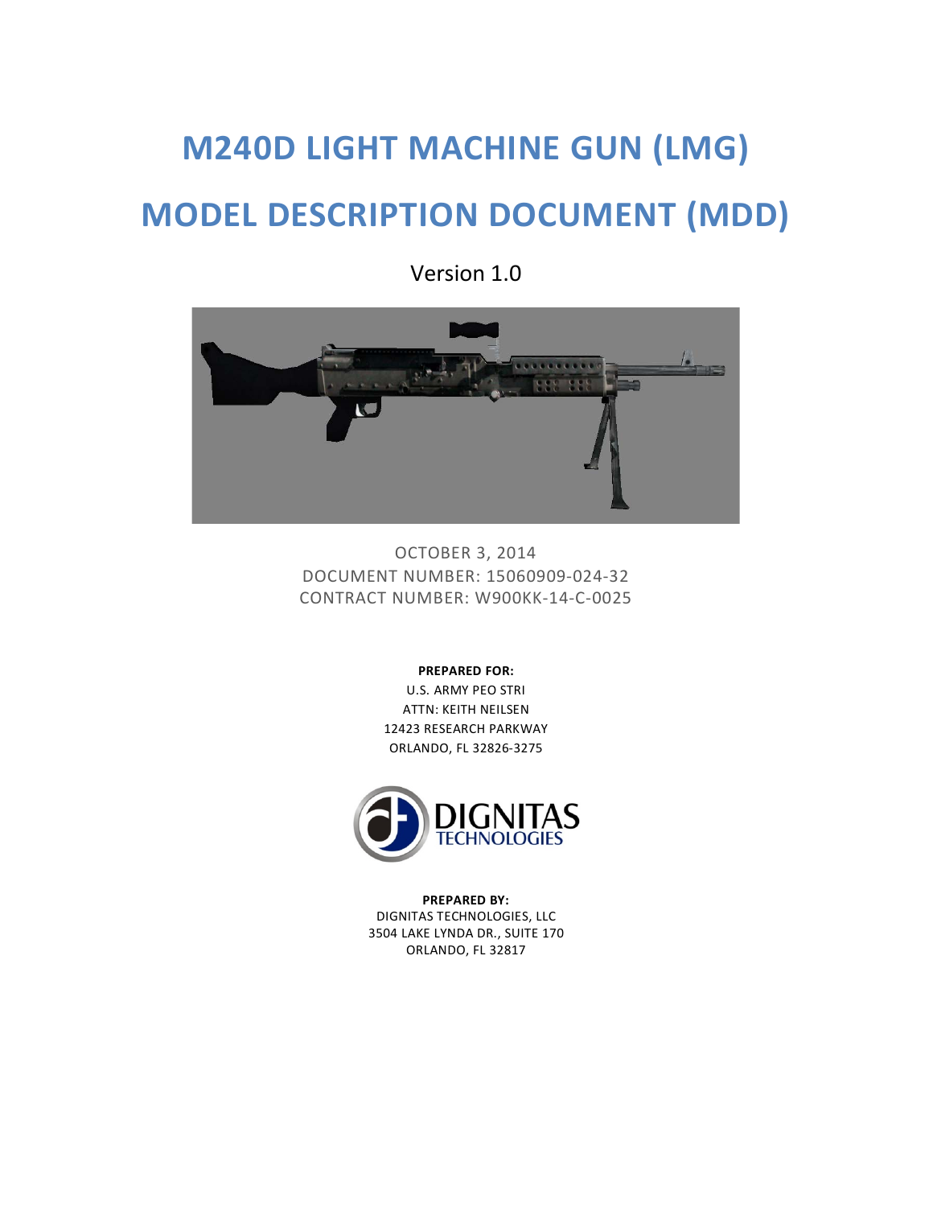# **M240D LIGHT MACHINE GUN (LMG) MODEL DESCRIPTION DOCUMENT (MDD)**

OCTOBER 3, 2014 DOCUMENT NUMBER: 15060909-024-32 CONTRACT NUMBER: W900KK-14-C-0025

**PREPARED FOR:**

U.S. ARMY PEO STRI ATTN: KEITH NEILSEN 12423 RESEARCH PARKWAY ORLANDO, FL 32826-3275



**PREPARED BY:** DIGNITAS TECHNOLOGIES, LLC 3504 LAKE LYNDA DR., SUITE 170 ORLANDO, FL 32817

Version 1.0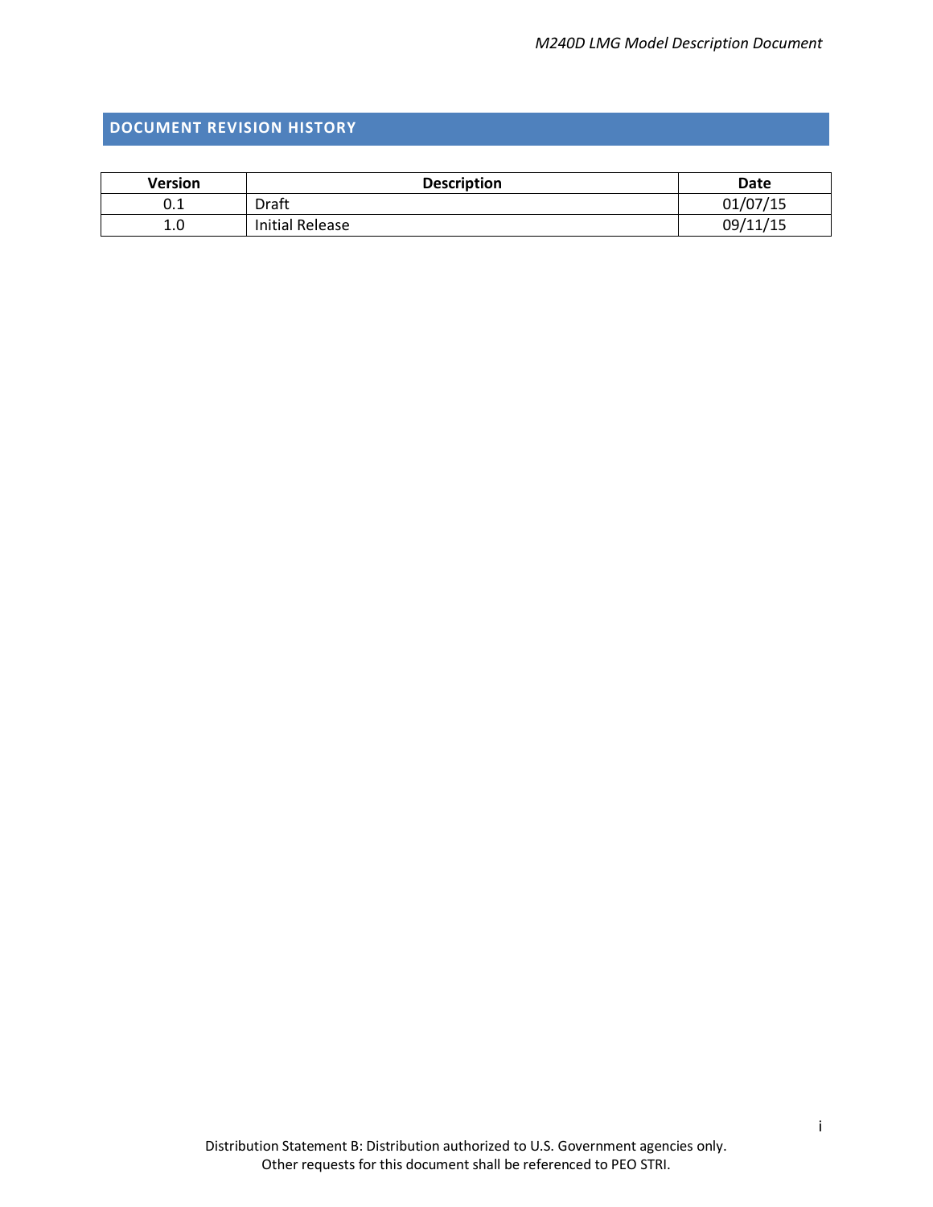## <span id="page-1-0"></span>**DOCUMENT REVISION HISTORY**

| <b>Version</b> | <b>Description</b> | Date     |
|----------------|--------------------|----------|
| U.L            | Draft              | 01/07/15 |
| 1.0            | Initial Release    | 09/11/15 |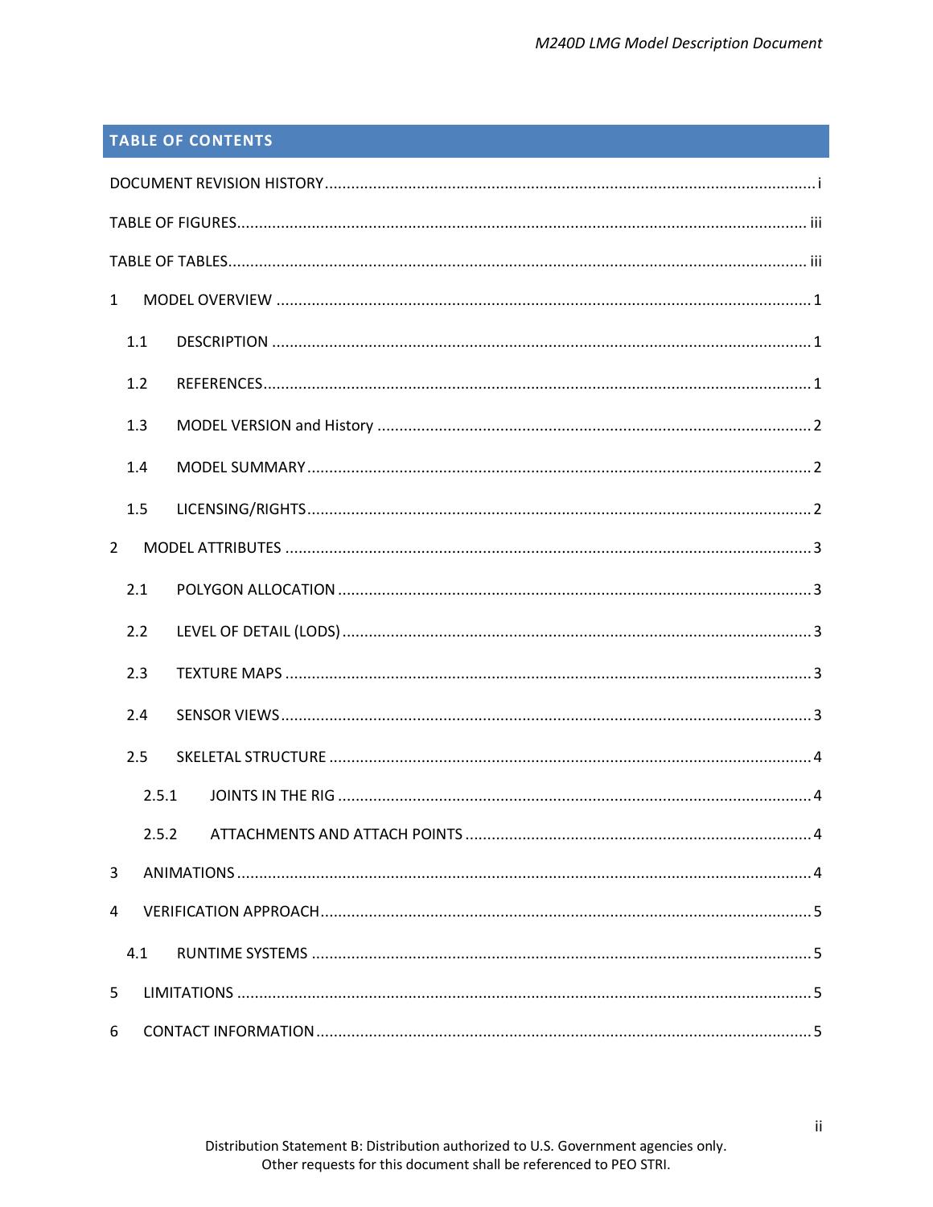# **TABLE OF CONTENTS**

| $\mathbf{1}$   |  |
|----------------|--|
| 1.1            |  |
| 1.2            |  |
| 1.3            |  |
| 1.4            |  |
| 1.5            |  |
| $\overline{2}$ |  |
| 2.1            |  |
| 2.2            |  |
| 2.3            |  |
| 2.4            |  |
| 2.5            |  |
| 2.5.1          |  |
| 2.5.2          |  |
| 3              |  |
| 4              |  |
| 4.1            |  |
| 5              |  |
| 6              |  |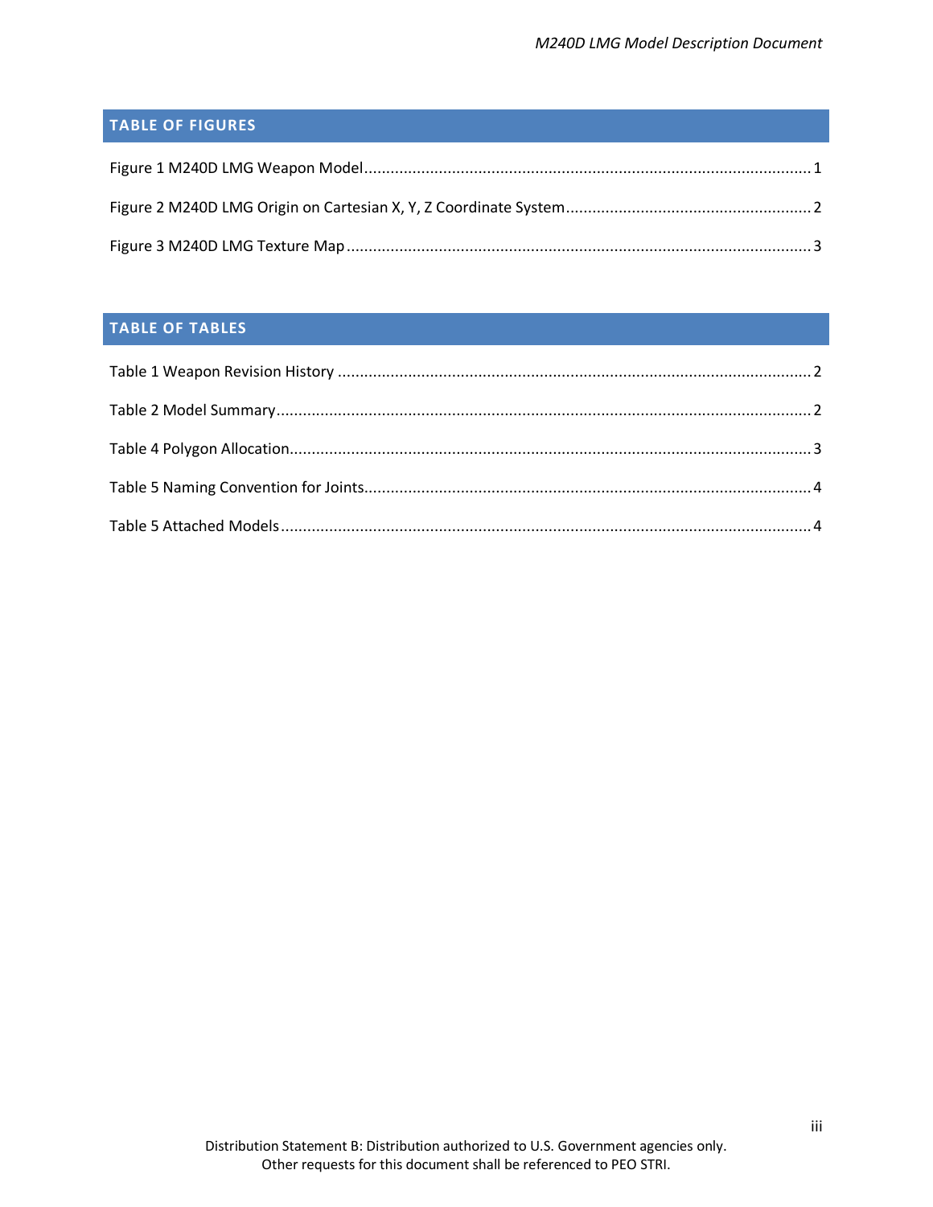# <span id="page-3-0"></span>**TABLE OF FIGURES**

# <span id="page-3-1"></span>**TABLE OF TABLES**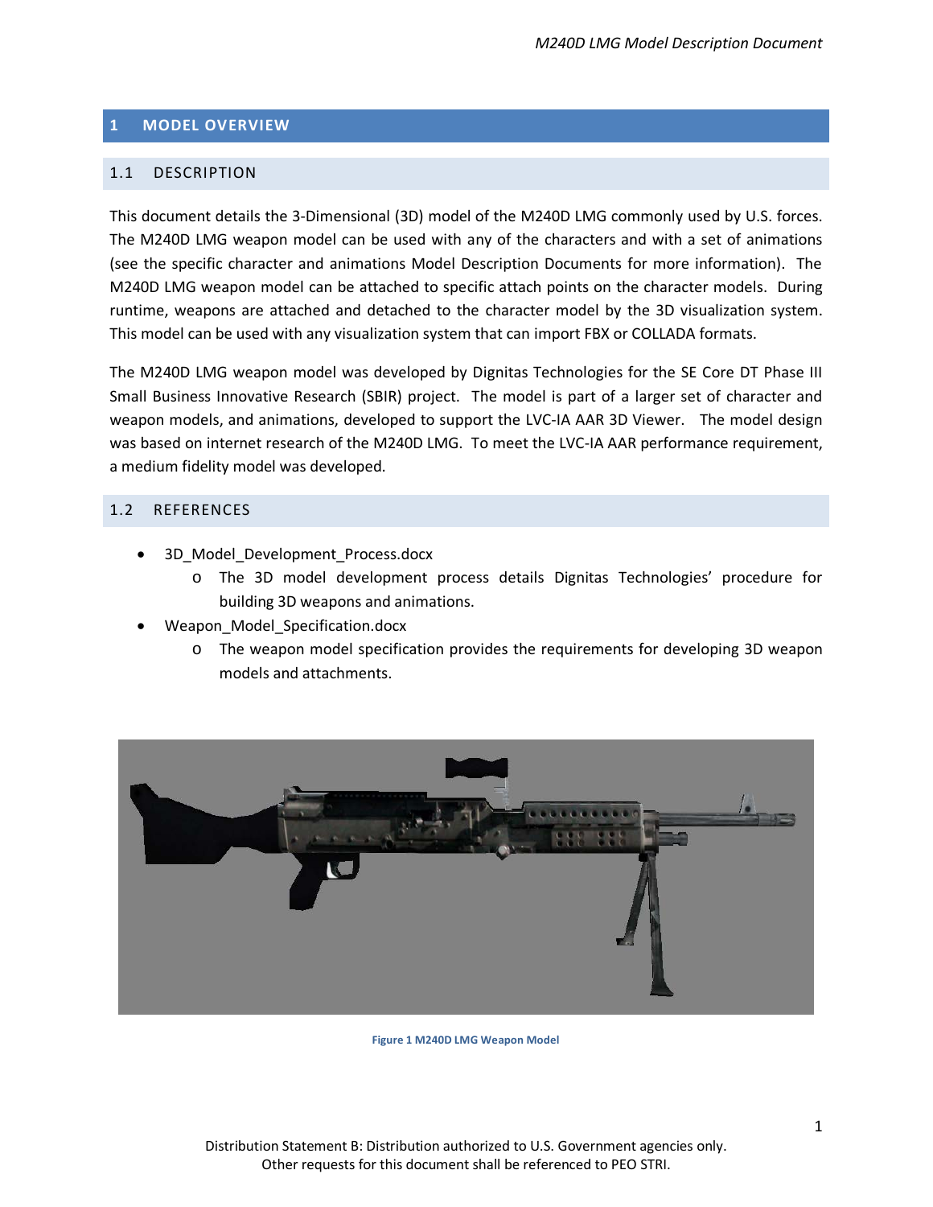## <span id="page-4-0"></span>**1 MODEL OVERVIEW**

## <span id="page-4-1"></span>1.1 DESCRIPTION

This document details the 3-Dimensional (3D) model of the M240D LMG commonly used by U.S. forces. The M240D LMG weapon model can be used with any of the characters and with a set of animations (see the specific character and animations Model Description Documents for more information). The M240D LMG weapon model can be attached to specific attach points on the character models. During runtime, weapons are attached and detached to the character model by the 3D visualization system. This model can be used with any visualization system that can import FBX or COLLADA formats.

The M240D LMG weapon model was developed by Dignitas Technologies for the SE Core DT Phase III Small Business Innovative Research (SBIR) project. The model is part of a larger set of character and weapon models, and animations, developed to support the LVC-IA AAR 3D Viewer. The model design was based on internet research of the M240D LMG. To meet the LVC-IA AAR performance requirement, a medium fidelity model was developed.

## <span id="page-4-2"></span>1.2 REFERENCES

- 3D Model Development Process.docx
	- o The 3D model development process details Dignitas Technologies' procedure for building 3D weapons and animations.
- Weapon Model Specification.docx
	- o The weapon model specification provides the requirements for developing 3D weapon models and attachments.



<span id="page-4-3"></span>**Figure 1 M240D LMG Weapon Model**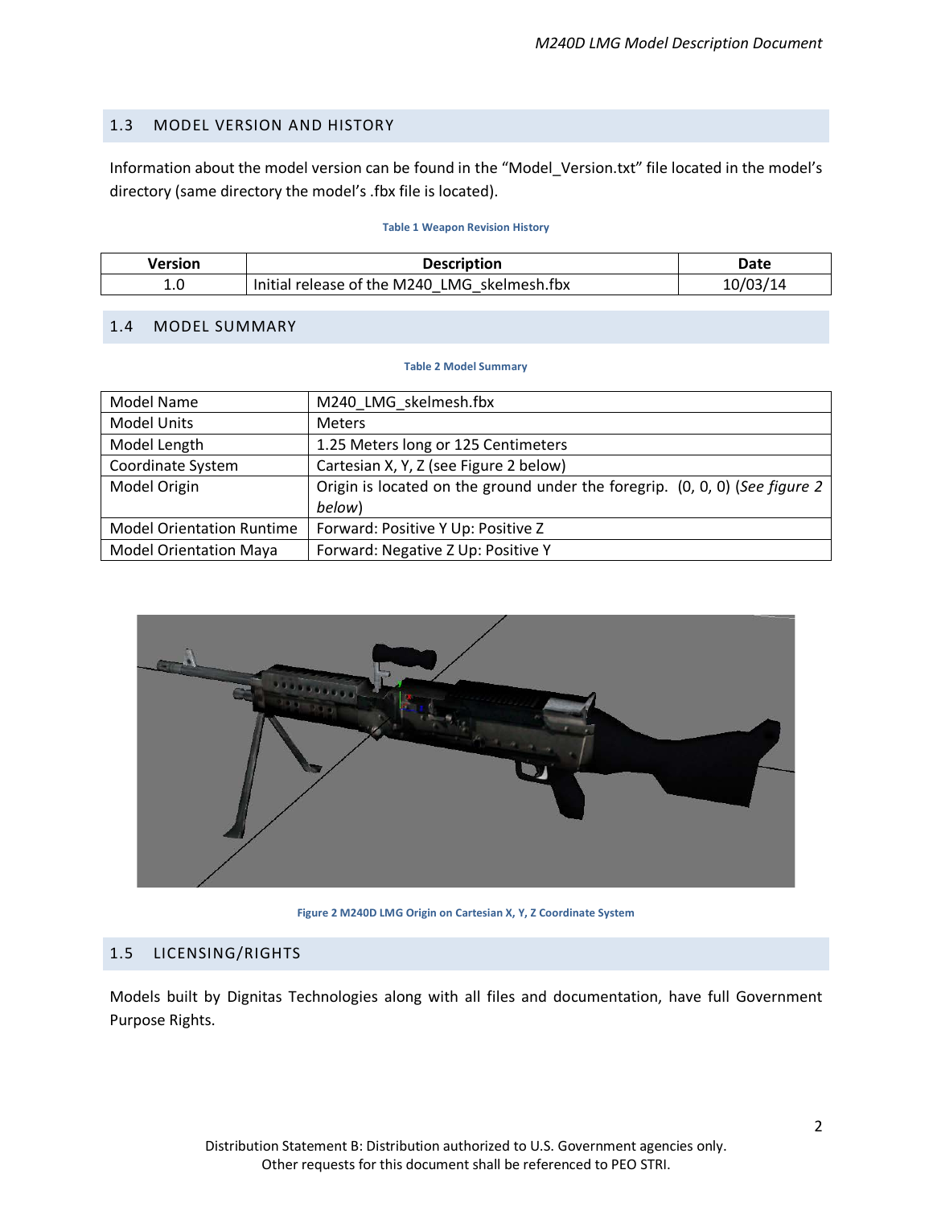## <span id="page-5-0"></span>1.3 MODEL VERSION AND HISTORY

Information about the model version can be found in the "Model\_Version.txt" file located in the model's directory (same directory the model's .fbx file is located).

#### **Table 1 Weapon Revision History**

<span id="page-5-4"></span>

| Version | <b>Description</b>                           | Date |
|---------|----------------------------------------------|------|
| t.u     | Initial release of the M240 LMG skelmesh.fbx |      |

## <span id="page-5-5"></span><span id="page-5-1"></span>1.4 MODEL SUMMARY

#### **Table 2 Model Summary**

| <b>Model Name</b>                | M240_LMG_skelmesh.fbx                                                       |
|----------------------------------|-----------------------------------------------------------------------------|
| <b>Model Units</b>               | <b>Meters</b>                                                               |
| Model Length                     | 1.25 Meters long or 125 Centimeters                                         |
| Coordinate System                | Cartesian X, Y, Z (see Figure 2 below)                                      |
| Model Origin                     | Origin is located on the ground under the foregrip. (0, 0, 0) (See figure 2 |
|                                  | below)                                                                      |
| <b>Model Orientation Runtime</b> | Forward: Positive Y Up: Positive Z                                          |
| <b>Model Orientation Maya</b>    | Forward: Negative Z Up: Positive Y                                          |



**Figure 2 M240D LMG Origin on Cartesian X, Y, Z Coordinate System**

## <span id="page-5-3"></span><span id="page-5-2"></span>1.5 LICENSING/RIGHTS

Models built by Dignitas Technologies along with all files and documentation, have full Government Purpose Rights.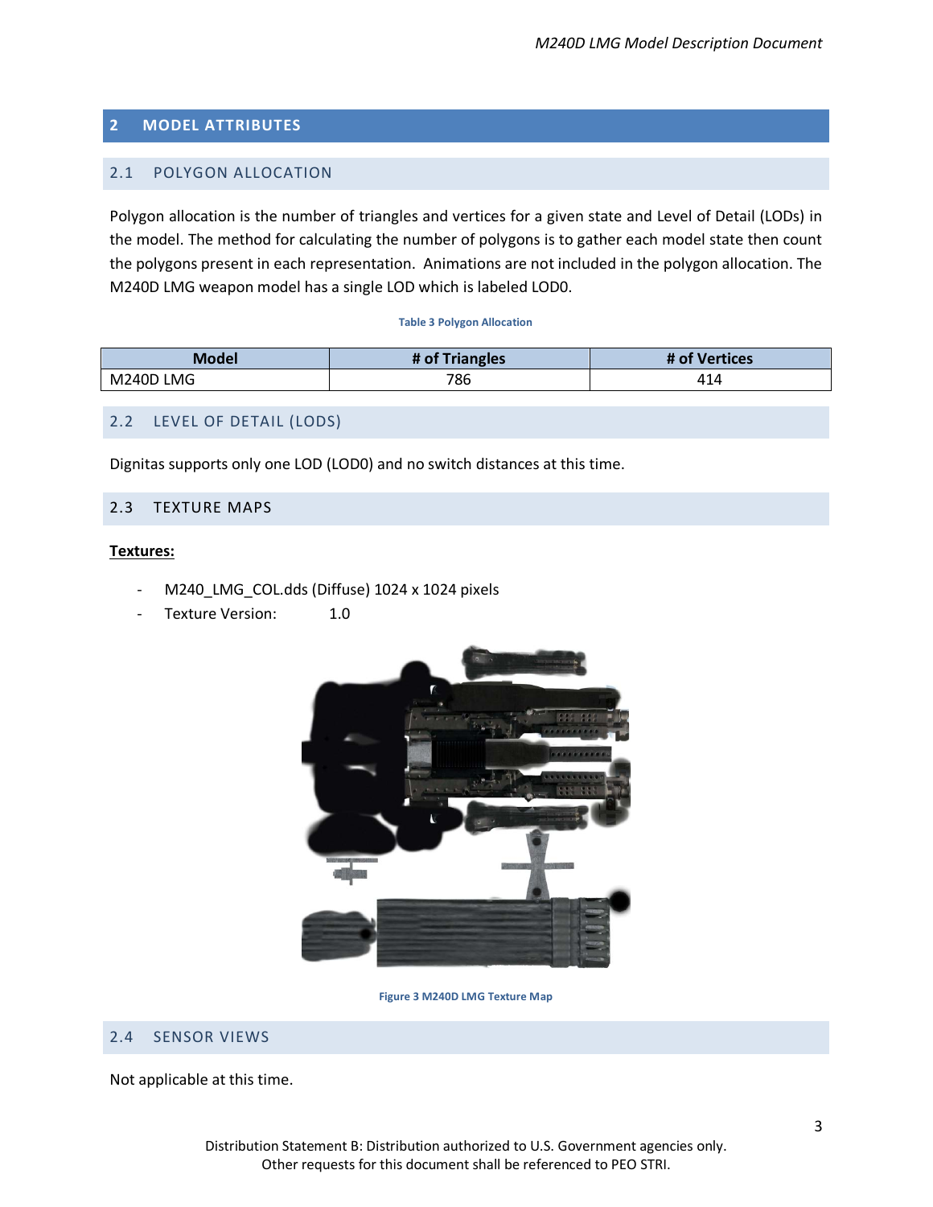## <span id="page-6-0"></span>**2 MODEL ATTRIBUTES**

## <span id="page-6-1"></span>2.1 POLYGON ALLOCATION

Polygon allocation is the number of triangles and vertices for a given state and Level of Detail (LODs) in the model. The method for calculating the number of polygons is to gather each model state then count the polygons present in each representation. Animations are not included in the polygon allocation. The M240D LMG weapon model has a single LOD which is labeled LOD0.

#### **Table 3 Polygon Allocation**

<span id="page-6-6"></span>

| Model        | # of Triangles | Vertices<br># of          |
|--------------|----------------|---------------------------|
| LMG<br>M240D | 786            | $\Lambda^{\prime}$<br>414 |

## <span id="page-6-2"></span>2.2 LEVEL OF DETAIL (LODS)

Dignitas supports only one LOD (LOD0) and no switch distances at this time.

## <span id="page-6-3"></span>2.3 TEXTURE MAPS

#### **Textures:**

- M240\_LMG\_COL.dds (Diffuse) 1024 x 1024 pixels
- Texture Version: 1.0



**Figure 3 M240D LMG Texture Map**

#### <span id="page-6-5"></span><span id="page-6-4"></span>2.4 SENSOR VIEWS

Not applicable at this time.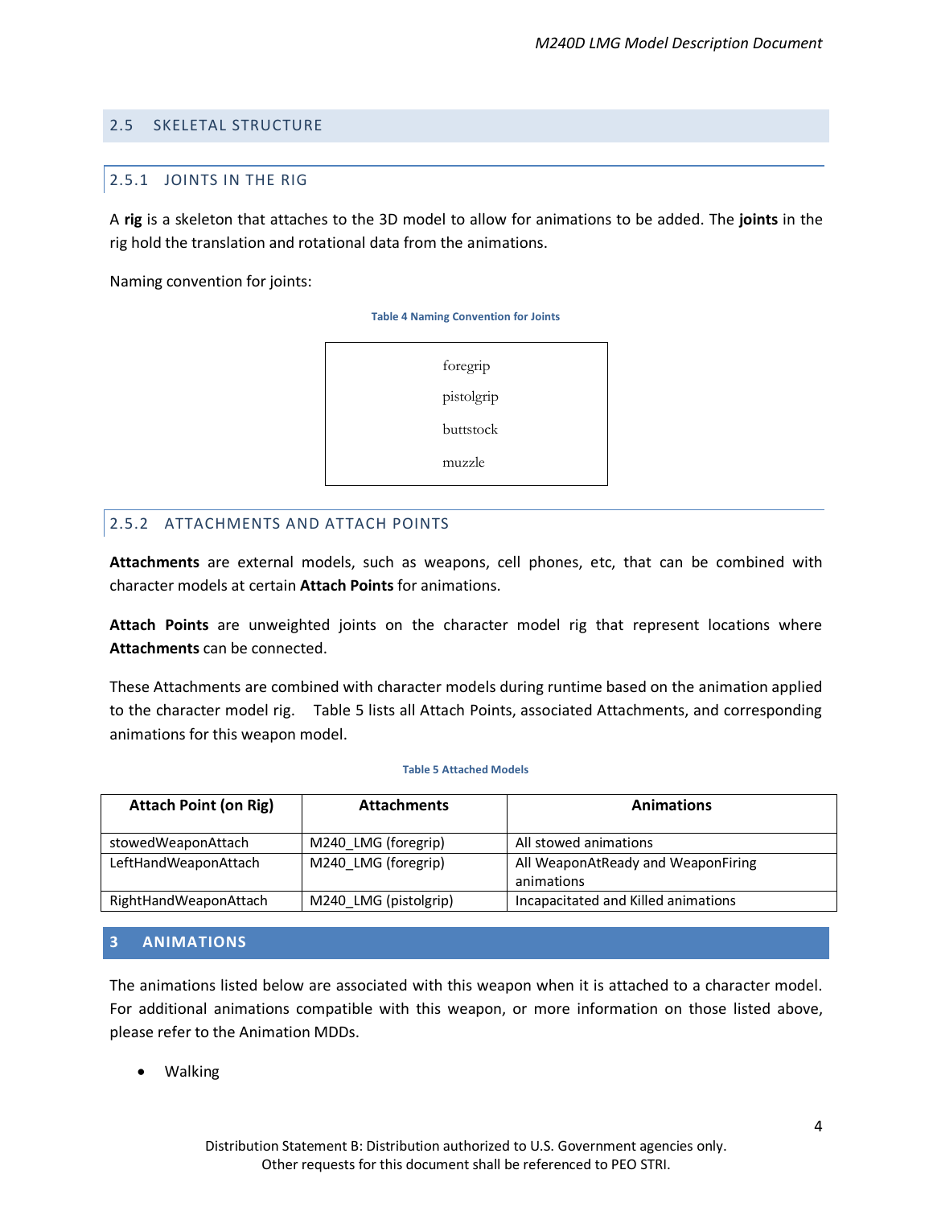## <span id="page-7-1"></span><span id="page-7-0"></span>2.5 SKELETAL STRUCTURE

## 2.5.1 JOINTS IN THE RIG

A **rig** is a skeleton that attaches to the 3D model to allow for animations to be added. The **joints** in the rig hold the translation and rotational data from the animations.

<span id="page-7-4"></span>Naming convention for joints:

**Table 4 Naming Convention for Joints**



## <span id="page-7-2"></span>2.5.2 ATTACHMENTS AND ATTACH POINTS

**Attachments** are external models, such as weapons, cell phones, etc, that can be combined with character models at certain **Attach Points** for animations.

**Attach Points** are unweighted joints on the character model rig that represent locations where **Attachments** can be connected.

These Attachments are combined with character models during runtime based on the animation applied to the character model rig. [Table 5](#page-7-5) lists all Attach Points, associated Attachments, and corresponding animations for this weapon model.

#### **Table 5 Attached Models**

<span id="page-7-5"></span>

| <b>Attach Point (on Rig)</b> | <b>Attachments</b>    | <b>Animations</b>                                |
|------------------------------|-----------------------|--------------------------------------------------|
| stowedWeaponAttach           | M240 LMG (foregrip)   | All stowed animations                            |
| LeftHandWeaponAttach         | M240 LMG (foregrip)   | All WeaponAtReady and WeaponFiring<br>animations |
| RightHandWeaponAttach        | M240 LMG (pistolgrip) | Incapacitated and Killed animations              |

## <span id="page-7-3"></span>**3 ANIMATIONS**

The animations listed below are associated with this weapon when it is attached to a character model. For additional animations compatible with this weapon, or more information on those listed above, please refer to the Animation MDDs.

• Walking